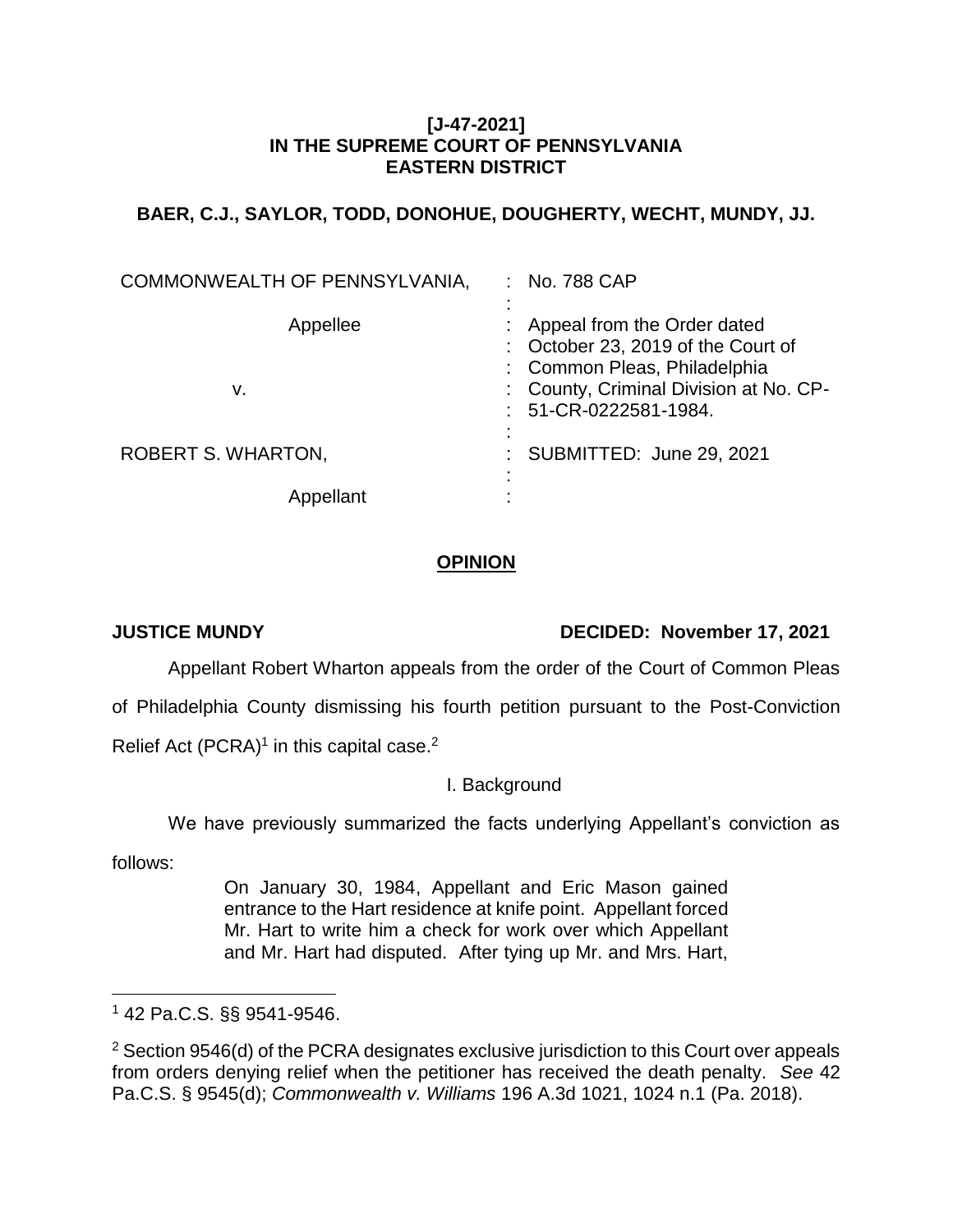#### **[J-47-2021] IN THE SUPREME COURT OF PENNSYLVANIA EASTERN DISTRICT**

# **BAER, C.J., SAYLOR, TODD, DONOHUE, DOUGHERTY, WECHT, MUNDY, JJ.**

| COMMONWEALTH OF PENNSYLVANIA, | : No. 788 CAP                                                                                                                                                           |
|-------------------------------|-------------------------------------------------------------------------------------------------------------------------------------------------------------------------|
| Appellee<br>v.                | Appeal from the Order dated<br>: October 23, 2019 of the Court of<br>: Common Pleas, Philadelphia<br>: County, Criminal Division at No. CP-<br>$: 51$ -CR-0222581-1984. |
| <b>ROBERT S. WHARTON,</b>     | : SUBMITTED: June 29, 2021                                                                                                                                              |
| Appellant                     |                                                                                                                                                                         |

## **OPINION**

## **JUSTICE MUNDY DECIDED: November 17, 2021**

Appellant Robert Wharton appeals from the order of the Court of Common Pleas

of Philadelphia County dismissing his fourth petition pursuant to the Post-Conviction

Relief Act (PCRA)<sup>1</sup> in this capital case.<sup>2</sup>

## I. Background

We have previously summarized the facts underlying Appellant's conviction as

follows:

On January 30, 1984, Appellant and Eric Mason gained entrance to the Hart residence at knife point. Appellant forced Mr. Hart to write him a check for work over which Appellant and Mr. Hart had disputed. After tying up Mr. and Mrs. Hart,

 $\overline{a}$ <sup>1</sup> 42 Pa.C.S. §§ 9541-9546.

<sup>&</sup>lt;sup>2</sup> Section 9546(d) of the PCRA designates exclusive jurisdiction to this Court over appeals from orders denying relief when the petitioner has received the death penalty. *See* 42 Pa.C.S. § 9545(d); *Commonwealth v. Williams* 196 A.3d 1021, 1024 n.1 (Pa. 2018).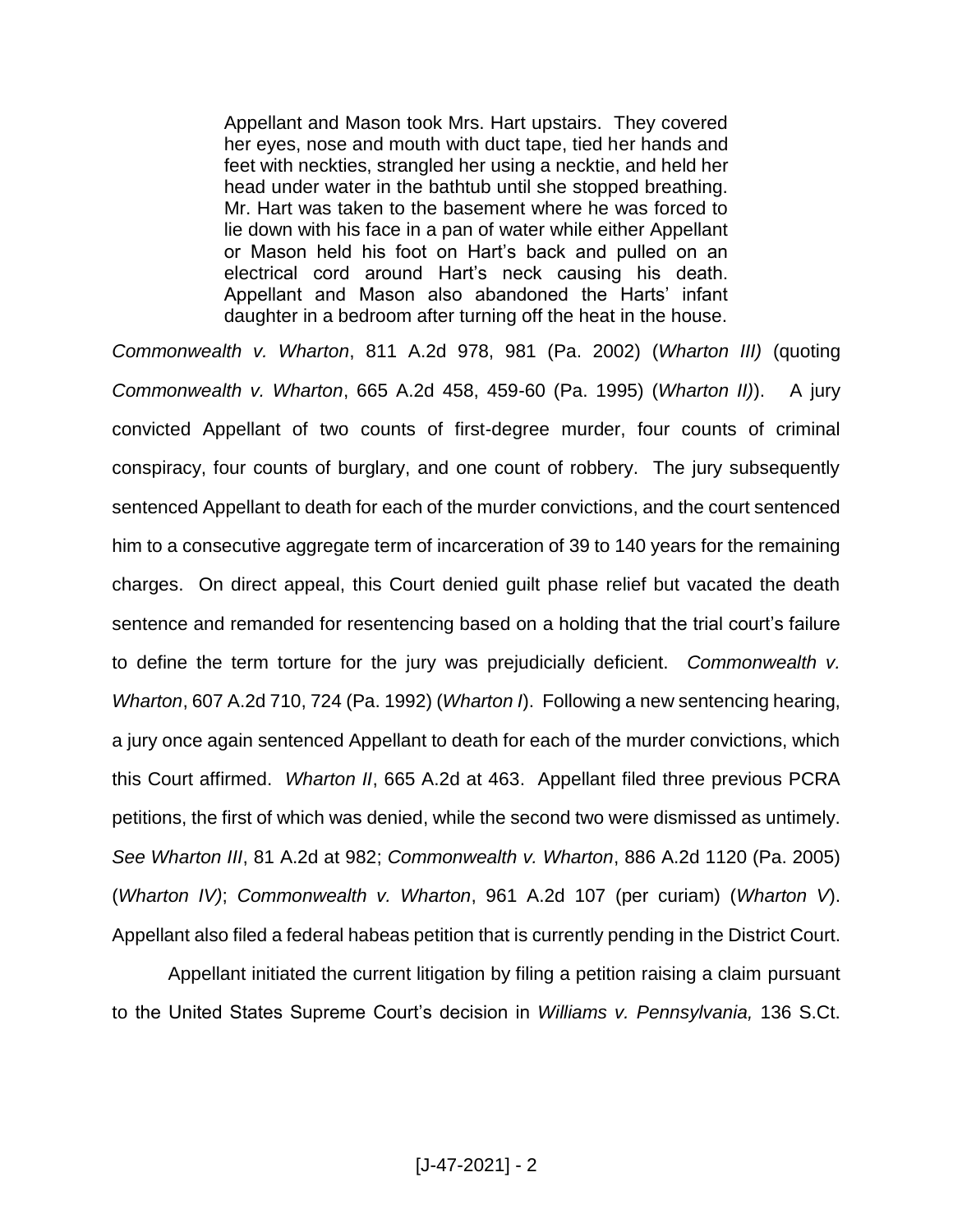Appellant and Mason took Mrs. Hart upstairs. They covered her eyes, nose and mouth with duct tape, tied her hands and feet with neckties, strangled her using a necktie, and held her head under water in the bathtub until she stopped breathing. Mr. Hart was taken to the basement where he was forced to lie down with his face in a pan of water while either Appellant or Mason held his foot on Hart's back and pulled on an electrical cord around Hart's neck causing his death. Appellant and Mason also abandoned the Harts' infant daughter in a bedroom after turning off the heat in the house.

*Commonwealth v. Wharton*, 811 A.2d 978, 981 (Pa. 2002) (*Wharton III)* (quoting *Commonwealth v. Wharton*, 665 A.2d 458, 459-60 (Pa. 1995) (*Wharton II)*). A jury convicted Appellant of two counts of first-degree murder, four counts of criminal conspiracy, four counts of burglary, and one count of robbery. The jury subsequently sentenced Appellant to death for each of the murder convictions, and the court sentenced him to a consecutive aggregate term of incarceration of 39 to 140 years for the remaining charges. On direct appeal, this Court denied guilt phase relief but vacated the death sentence and remanded for resentencing based on a holding that the trial court's failure to define the term torture for the jury was prejudicially deficient. *Commonwealth v. Wharton*, 607 A.2d 710, 724 (Pa. 1992) (*Wharton I*). Following a new sentencing hearing, a jury once again sentenced Appellant to death for each of the murder convictions, which this Court affirmed. *Wharton II*, 665 A.2d at 463. Appellant filed three previous PCRA petitions, the first of which was denied, while the second two were dismissed as untimely. *See Wharton III*, 81 A.2d at 982; *Commonwealth v. Wharton*, 886 A.2d 1120 (Pa. 2005) (*Wharton IV)*; *Commonwealth v. Wharton*, 961 A.2d 107 (per curiam) (*Wharton V*). Appellant also filed a federal habeas petition that is currently pending in the District Court.

Appellant initiated the current litigation by filing a petition raising a claim pursuant to the United States Supreme Court's decision in *Williams v. Pennsylvania,* 136 S.Ct.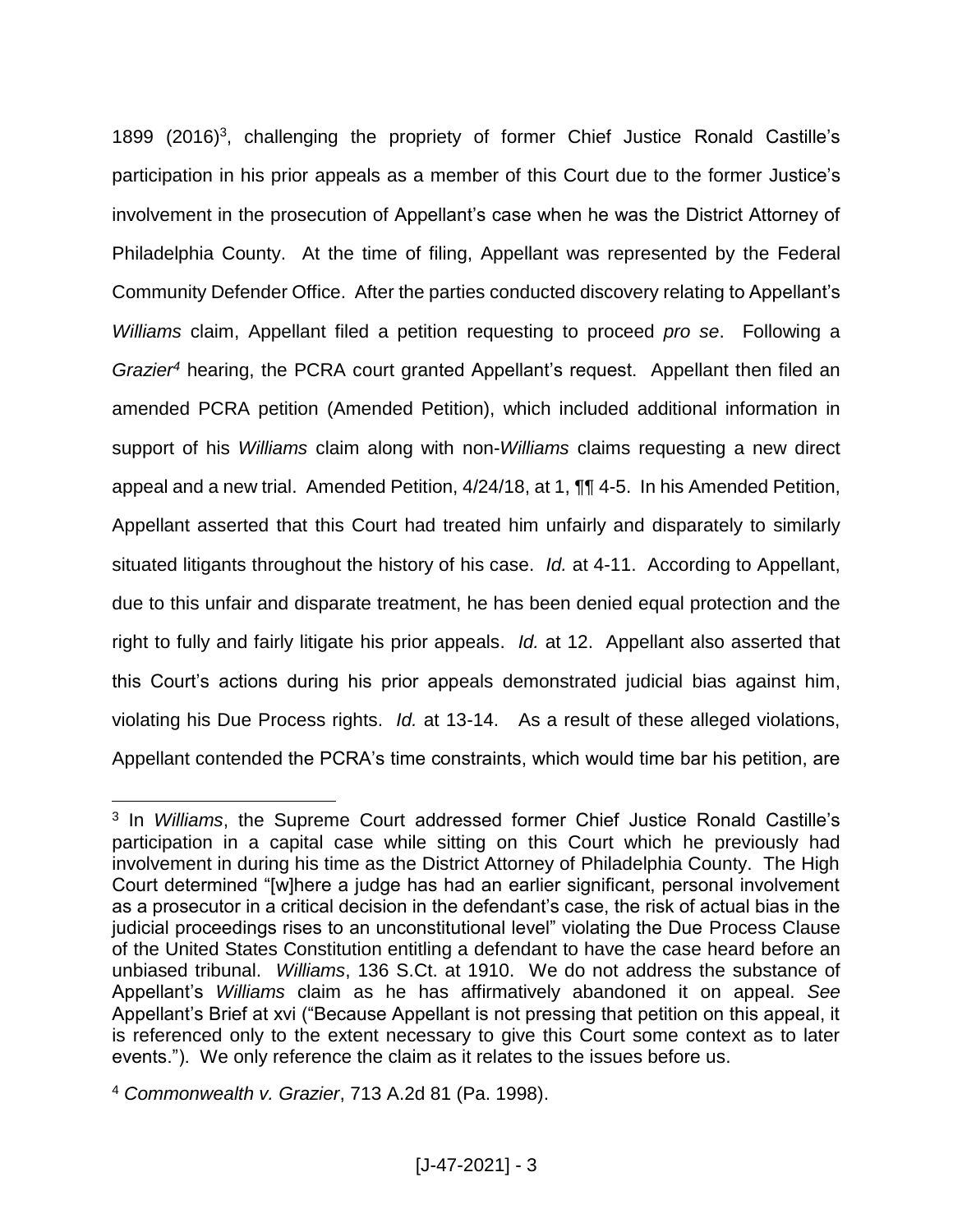1899 (2016)<sup>3</sup>, challenging the propriety of former Chief Justice Ronald Castille's participation in his prior appeals as a member of this Court due to the former Justice's involvement in the prosecution of Appellant's case when he was the District Attorney of Philadelphia County. At the time of filing, Appellant was represented by the Federal Community Defender Office. After the parties conducted discovery relating to Appellant's *Williams* claim, Appellant filed a petition requesting to proceed *pro se*. Following a *Grazier<sup>4</sup>* hearing, the PCRA court granted Appellant's request. Appellant then filed an amended PCRA petition (Amended Petition), which included additional information in support of his *Williams* claim along with non-*Williams* claims requesting a new direct appeal and a new trial. Amended Petition, 4/24/18, at 1, ¶¶ 4-5. In his Amended Petition, Appellant asserted that this Court had treated him unfairly and disparately to similarly situated litigants throughout the history of his case. *Id.* at 4-11. According to Appellant, due to this unfair and disparate treatment, he has been denied equal protection and the right to fully and fairly litigate his prior appeals. *Id.* at 12. Appellant also asserted that this Court's actions during his prior appeals demonstrated judicial bias against him, violating his Due Process rights. *Id.* at 13-14. As a result of these alleged violations, Appellant contended the PCRA's time constraints, which would time bar his petition, are

 $\overline{a}$ 

<sup>3</sup> In *Williams*, the Supreme Court addressed former Chief Justice Ronald Castille's participation in a capital case while sitting on this Court which he previously had involvement in during his time as the District Attorney of Philadelphia County. The High Court determined "[w]here a judge has had an earlier significant, personal involvement as a prosecutor in a critical decision in the defendant's case, the risk of actual bias in the judicial proceedings rises to an unconstitutional level" violating the Due Process Clause of the United States Constitution entitling a defendant to have the case heard before an unbiased tribunal. *Williams*, 136 S.Ct. at 1910. We do not address the substance of Appellant's *Williams* claim as he has affirmatively abandoned it on appeal. *See*  Appellant's Brief at xvi ("Because Appellant is not pressing that petition on this appeal, it is referenced only to the extent necessary to give this Court some context as to later events."). We only reference the claim as it relates to the issues before us.

<sup>4</sup> *Commonwealth v. Grazier*, 713 A.2d 81 (Pa. 1998).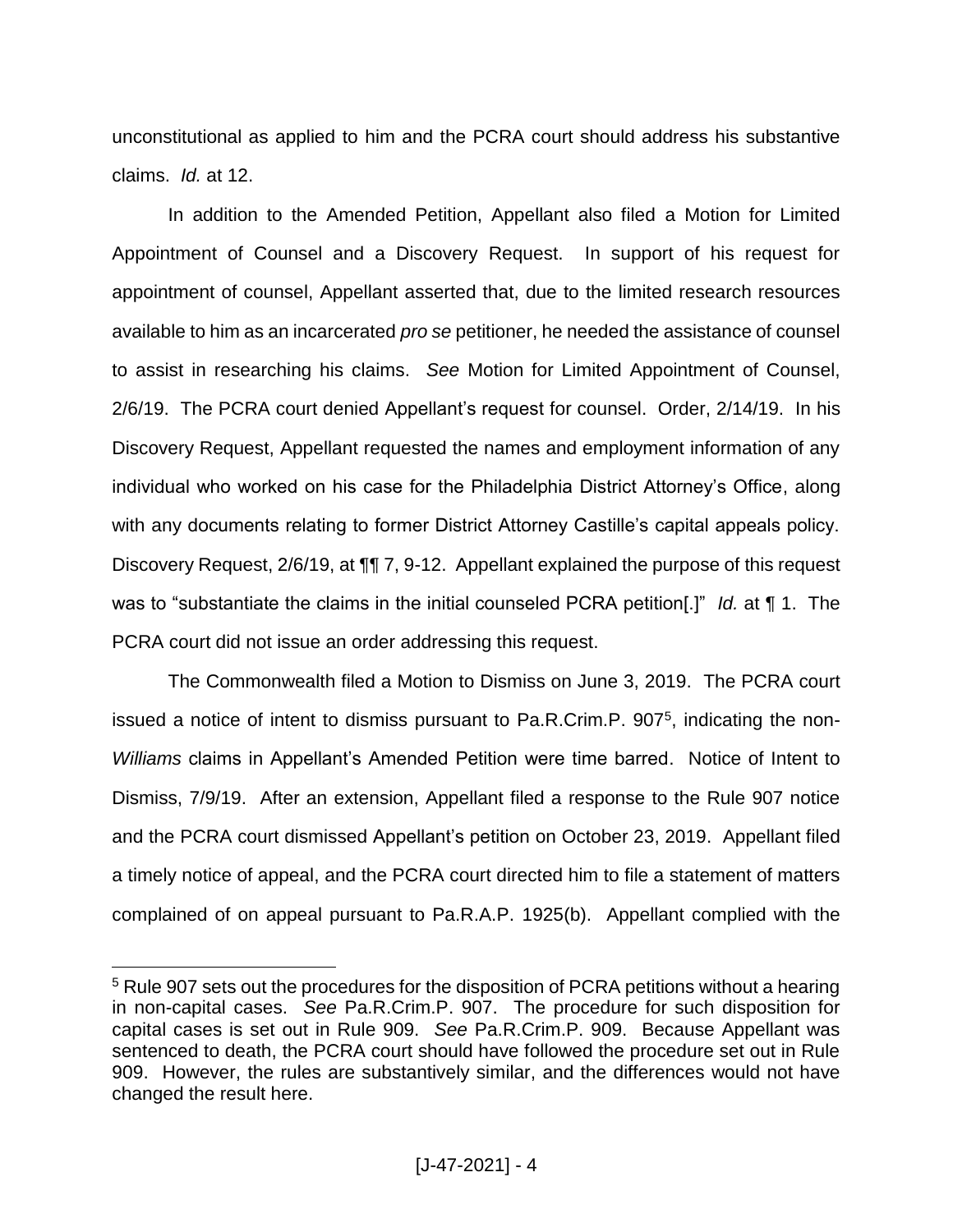unconstitutional as applied to him and the PCRA court should address his substantive claims. *Id.* at 12.

In addition to the Amended Petition, Appellant also filed a Motion for Limited Appointment of Counsel and a Discovery Request. In support of his request for appointment of counsel, Appellant asserted that, due to the limited research resources available to him as an incarcerated *pro se* petitioner, he needed the assistance of counsel to assist in researching his claims. *See* Motion for Limited Appointment of Counsel, 2/6/19. The PCRA court denied Appellant's request for counsel. Order, 2/14/19. In his Discovery Request, Appellant requested the names and employment information of any individual who worked on his case for the Philadelphia District Attorney's Office, along with any documents relating to former District Attorney Castille's capital appeals policy. Discovery Request, 2/6/19, at ¶¶ 7, 9-12. Appellant explained the purpose of this request was to "substantiate the claims in the initial counseled PCRA petition[.]" *Id.* at ¶ 1. The PCRA court did not issue an order addressing this request.

The Commonwealth filed a Motion to Dismiss on June 3, 2019. The PCRA court issued a notice of intent to dismiss pursuant to Pa.R.Crim.P. 907<sup>5</sup>, indicating the non-*Williams* claims in Appellant's Amended Petition were time barred. Notice of Intent to Dismiss, 7/9/19. After an extension, Appellant filed a response to the Rule 907 notice and the PCRA court dismissed Appellant's petition on October 23, 2019. Appellant filed a timely notice of appeal, and the PCRA court directed him to file a statement of matters complained of on appeal pursuant to Pa.R.A.P. 1925(b). Appellant complied with the

 $\overline{a}$ 

<sup>&</sup>lt;sup>5</sup> Rule 907 sets out the procedures for the disposition of PCRA petitions without a hearing in non-capital cases. *See* Pa.R.Crim.P. 907. The procedure for such disposition for capital cases is set out in Rule 909. *See* Pa.R.Crim.P. 909. Because Appellant was sentenced to death, the PCRA court should have followed the procedure set out in Rule 909. However, the rules are substantively similar, and the differences would not have changed the result here.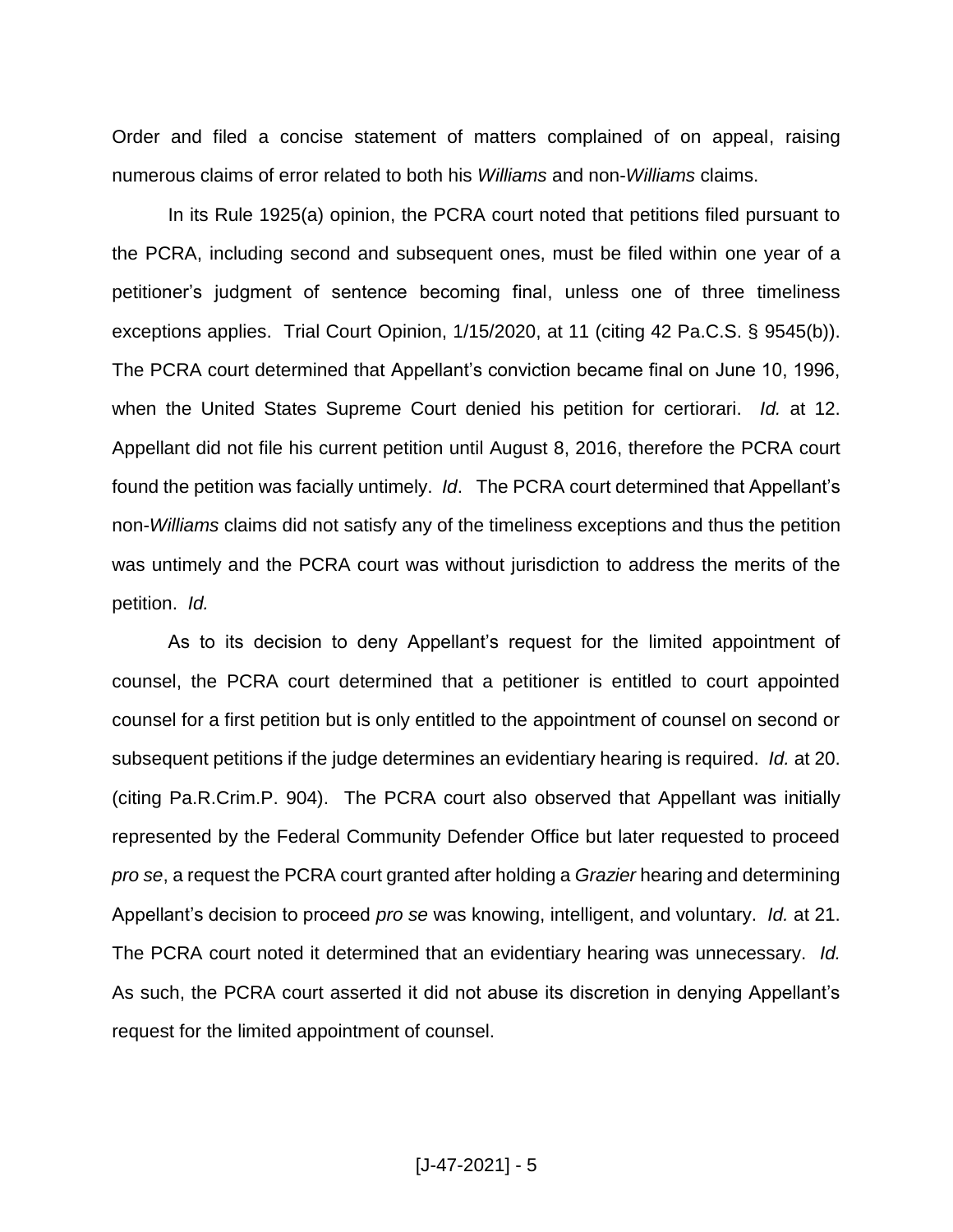Order and filed a concise statement of matters complained of on appeal, raising numerous claims of error related to both his *Williams* and non-*Williams* claims.

In its Rule 1925(a) opinion, the PCRA court noted that petitions filed pursuant to the PCRA, including second and subsequent ones, must be filed within one year of a petitioner's judgment of sentence becoming final, unless one of three timeliness exceptions applies. Trial Court Opinion, 1/15/2020, at 11 (citing 42 Pa.C.S. § 9545(b)). The PCRA court determined that Appellant's conviction became final on June 10, 1996, when the United States Supreme Court denied his petition for certiorari. *Id.* at 12. Appellant did not file his current petition until August 8, 2016, therefore the PCRA court found the petition was facially untimely. *Id*. The PCRA court determined that Appellant's non-*Williams* claims did not satisfy any of the timeliness exceptions and thus the petition was untimely and the PCRA court was without jurisdiction to address the merits of the petition. *Id.*

As to its decision to deny Appellant's request for the limited appointment of counsel, the PCRA court determined that a petitioner is entitled to court appointed counsel for a first petition but is only entitled to the appointment of counsel on second or subsequent petitions if the judge determines an evidentiary hearing is required. *Id.* at 20. (citing Pa.R.Crim.P. 904). The PCRA court also observed that Appellant was initially represented by the Federal Community Defender Office but later requested to proceed *pro se*, a request the PCRA court granted after holding a *Grazier* hearing and determining Appellant's decision to proceed *pro se* was knowing, intelligent, and voluntary. *Id.* at 21. The PCRA court noted it determined that an evidentiary hearing was unnecessary. *Id.* As such, the PCRA court asserted it did not abuse its discretion in denying Appellant's request for the limited appointment of counsel.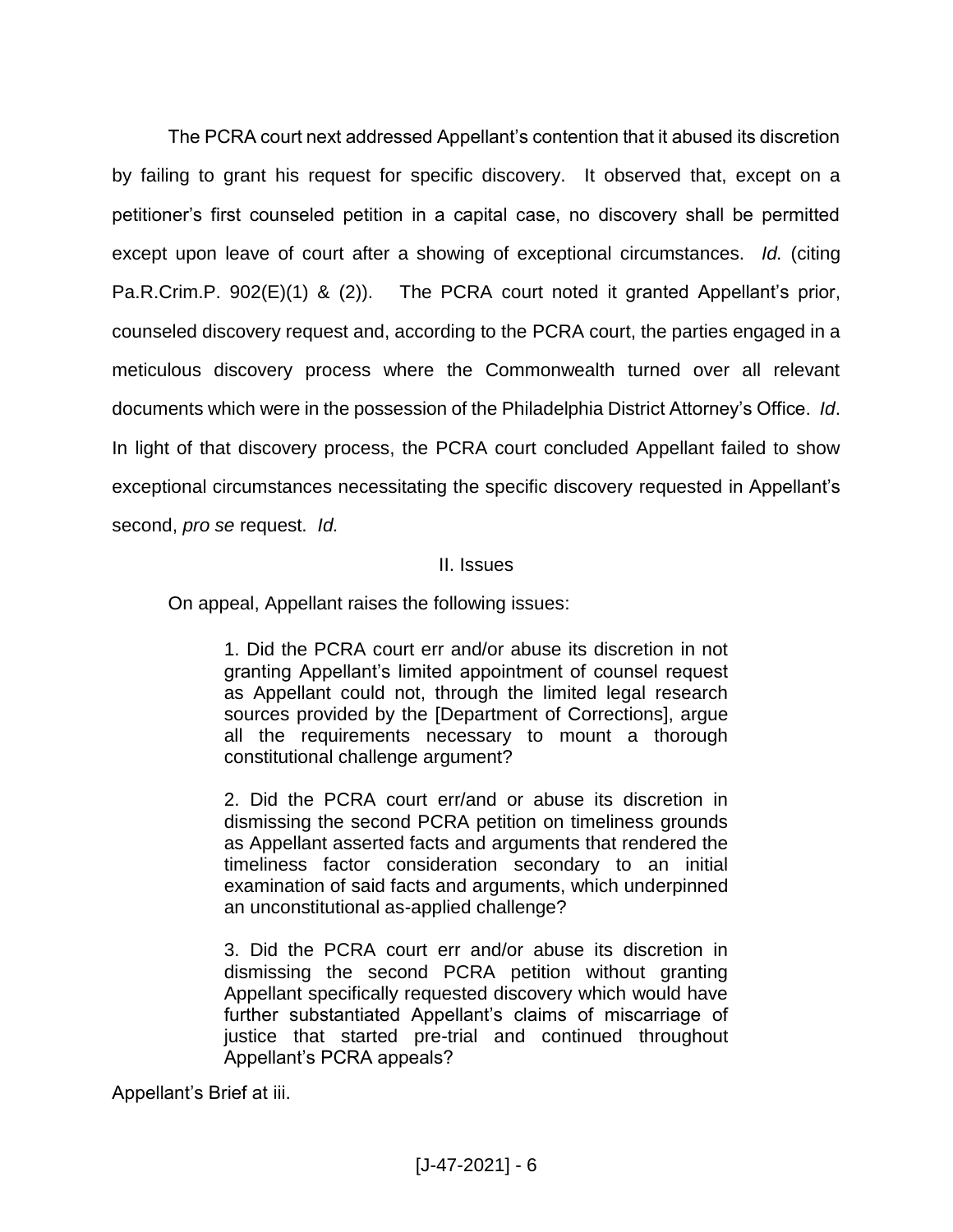The PCRA court next addressed Appellant's contention that it abused its discretion by failing to grant his request for specific discovery. It observed that, except on a petitioner's first counseled petition in a capital case, no discovery shall be permitted except upon leave of court after a showing of exceptional circumstances. *Id.* (citing Pa.R.Crim.P. 902(E)(1) & (2)). The PCRA court noted it granted Appellant's prior, counseled discovery request and, according to the PCRA court, the parties engaged in a meticulous discovery process where the Commonwealth turned over all relevant documents which were in the possession of the Philadelphia District Attorney's Office. *Id*. In light of that discovery process, the PCRA court concluded Appellant failed to show exceptional circumstances necessitating the specific discovery requested in Appellant's second, *pro se* request. *Id.*

#### II. Issues

On appeal, Appellant raises the following issues:

1. Did the PCRA court err and/or abuse its discretion in not granting Appellant's limited appointment of counsel request as Appellant could not, through the limited legal research sources provided by the [Department of Corrections], argue all the requirements necessary to mount a thorough constitutional challenge argument?

2. Did the PCRA court err/and or abuse its discretion in dismissing the second PCRA petition on timeliness grounds as Appellant asserted facts and arguments that rendered the timeliness factor consideration secondary to an initial examination of said facts and arguments, which underpinned an unconstitutional as-applied challenge?

3. Did the PCRA court err and/or abuse its discretion in dismissing the second PCRA petition without granting Appellant specifically requested discovery which would have further substantiated Appellant's claims of miscarriage of justice that started pre-trial and continued throughout Appellant's PCRA appeals?

Appellant's Brief at iii.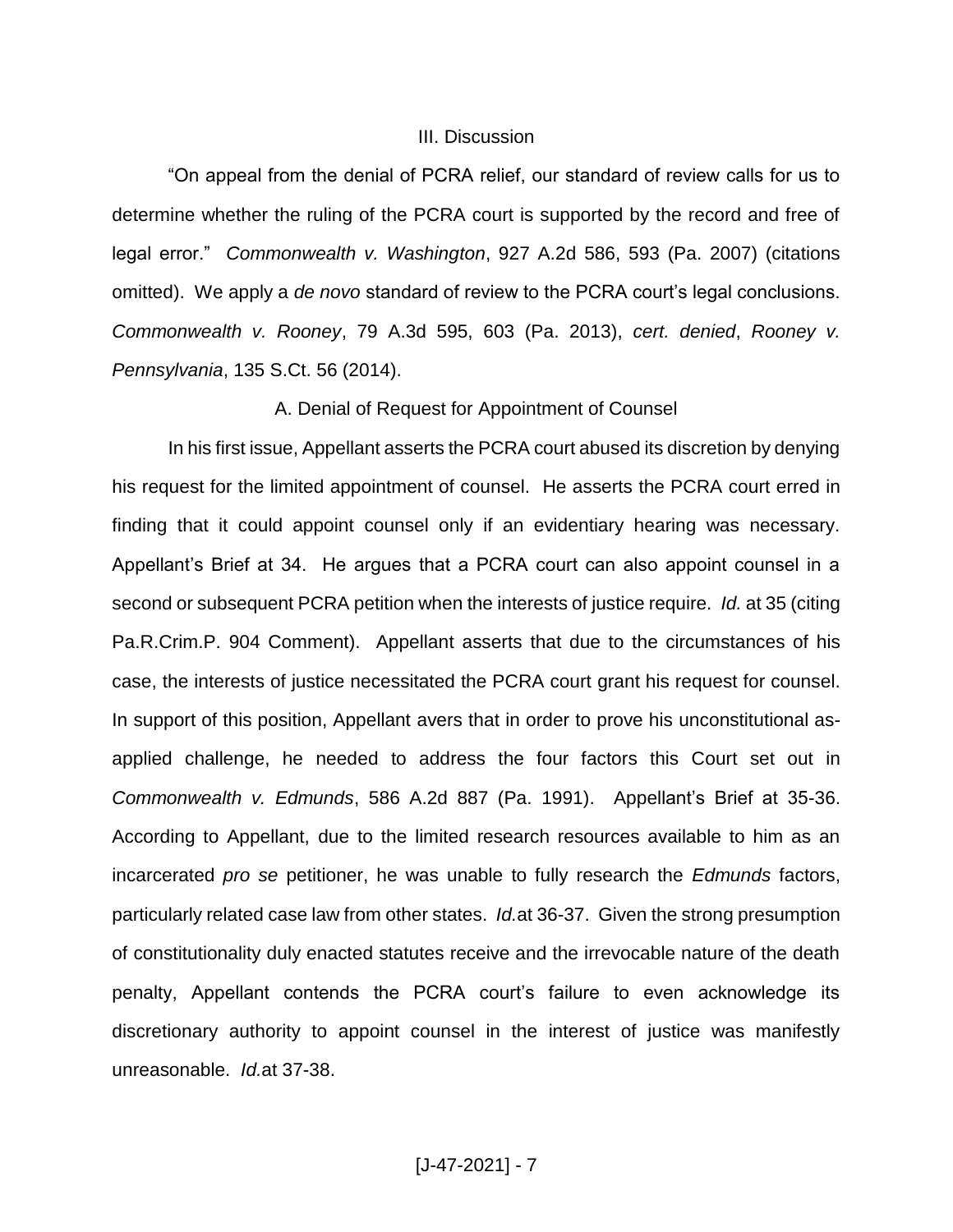#### III. Discussion

"On appeal from the denial of PCRA relief, our standard of review calls for us to determine whether the ruling of the PCRA court is supported by the record and free of legal error." *Commonwealth v. Washington*, 927 A.2d 586, 593 (Pa. 2007) (citations omitted). We apply a *de novo* standard of review to the PCRA court's legal conclusions. *Commonwealth v. Rooney*, 79 A.3d 595, 603 (Pa. 2013), *cert. denied*, *Rooney v. Pennsylvania*, 135 S.Ct. 56 (2014).

A. Denial of Request for Appointment of Counsel

In his first issue, Appellant asserts the PCRA court abused its discretion by denying his request for the limited appointment of counsel. He asserts the PCRA court erred in finding that it could appoint counsel only if an evidentiary hearing was necessary. Appellant's Brief at 34. He argues that a PCRA court can also appoint counsel in a second or subsequent PCRA petition when the interests of justice require. *Id.* at 35 (citing Pa.R.Crim.P. 904 Comment). Appellant asserts that due to the circumstances of his case, the interests of justice necessitated the PCRA court grant his request for counsel. In support of this position, Appellant avers that in order to prove his unconstitutional asapplied challenge, he needed to address the four factors this Court set out in *Commonwealth v. Edmunds*, 586 A.2d 887 (Pa. 1991). Appellant's Brief at 35-36. According to Appellant, due to the limited research resources available to him as an incarcerated *pro se* petitioner, he was unable to fully research the *Edmunds* factors, particularly related case law from other states. *Id.*at 36-37. Given the strong presumption of constitutionality duly enacted statutes receive and the irrevocable nature of the death penalty, Appellant contends the PCRA court's failure to even acknowledge its discretionary authority to appoint counsel in the interest of justice was manifestly unreasonable. *Id.*at 37-38.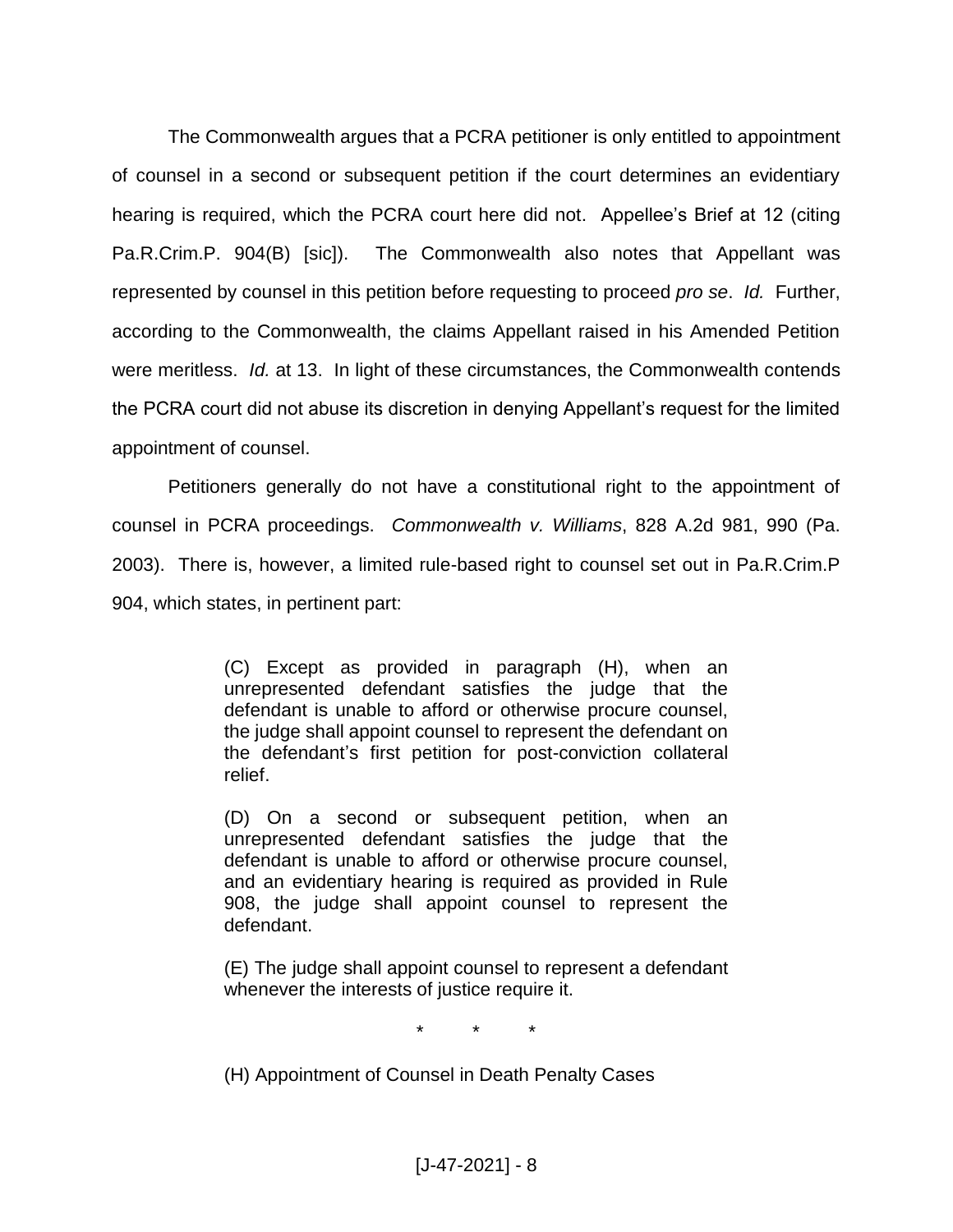The Commonwealth argues that a PCRA petitioner is only entitled to appointment of counsel in a second or subsequent petition if the court determines an evidentiary hearing is required, which the PCRA court here did not. Appellee's Brief at 12 (citing Pa.R.Crim.P. 904(B) [sic]). The Commonwealth also notes that Appellant was represented by counsel in this petition before requesting to proceed *pro se*. *Id.* Further, according to the Commonwealth, the claims Appellant raised in his Amended Petition were meritless. *Id.* at 13. In light of these circumstances, the Commonwealth contends the PCRA court did not abuse its discretion in denying Appellant's request for the limited appointment of counsel.

Petitioners generally do not have a constitutional right to the appointment of counsel in PCRA proceedings. *Commonwealth v. Williams*, 828 A.2d 981, 990 (Pa. 2003). There is, however, a limited rule-based right to counsel set out in Pa.R.Crim.P 904, which states, in pertinent part:

> (C) Except as provided in paragraph (H), when an unrepresented defendant satisfies the judge that the defendant is unable to afford or otherwise procure counsel, the judge shall appoint counsel to represent the defendant on the defendant's first petition for post-conviction collateral relief.

> (D) On a second or subsequent petition, when an unrepresented defendant satisfies the judge that the defendant is unable to afford or otherwise procure counsel, and an evidentiary hearing is required as provided in Rule 908, the judge shall appoint counsel to represent the defendant.

> (E) The judge shall appoint counsel to represent a defendant whenever the interests of justice require it.

> > \* \* \*

(H) Appointment of Counsel in Death Penalty Cases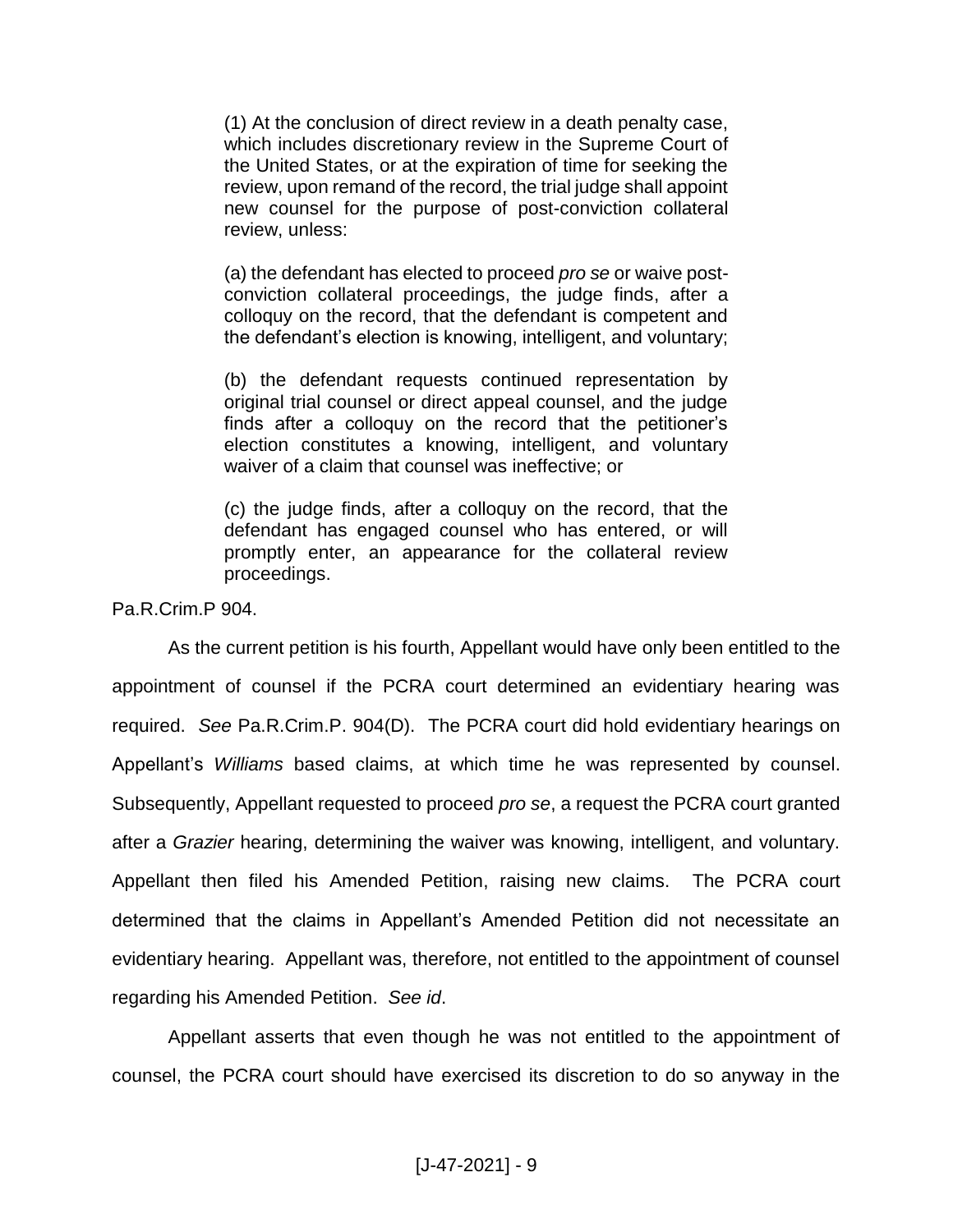(1) At the conclusion of direct review in a death penalty case, which includes discretionary review in the Supreme Court of the United States, or at the expiration of time for seeking the review, upon remand of the record, the trial judge shall appoint new counsel for the purpose of post-conviction collateral review, unless:

(a) the defendant has elected to proceed *pro se* or waive postconviction collateral proceedings, the judge finds, after a colloquy on the record, that the defendant is competent and the defendant's election is knowing, intelligent, and voluntary;

(b) the defendant requests continued representation by original trial counsel or direct appeal counsel, and the judge finds after a colloquy on the record that the petitioner's election constitutes a knowing, intelligent, and voluntary waiver of a claim that counsel was ineffective; or

(c) the judge finds, after a colloquy on the record, that the defendant has engaged counsel who has entered, or will promptly enter, an appearance for the collateral review proceedings.

Pa.R.Crim.P 904.

As the current petition is his fourth, Appellant would have only been entitled to the appointment of counsel if the PCRA court determined an evidentiary hearing was required. *See* Pa.R.Crim.P. 904(D). The PCRA court did hold evidentiary hearings on Appellant's *Williams* based claims, at which time he was represented by counsel. Subsequently, Appellant requested to proceed *pro se*, a request the PCRA court granted after a *Grazier* hearing, determining the waiver was knowing, intelligent, and voluntary. Appellant then filed his Amended Petition, raising new claims. The PCRA court determined that the claims in Appellant's Amended Petition did not necessitate an evidentiary hearing. Appellant was, therefore, not entitled to the appointment of counsel regarding his Amended Petition. *See id*.

Appellant asserts that even though he was not entitled to the appointment of counsel, the PCRA court should have exercised its discretion to do so anyway in the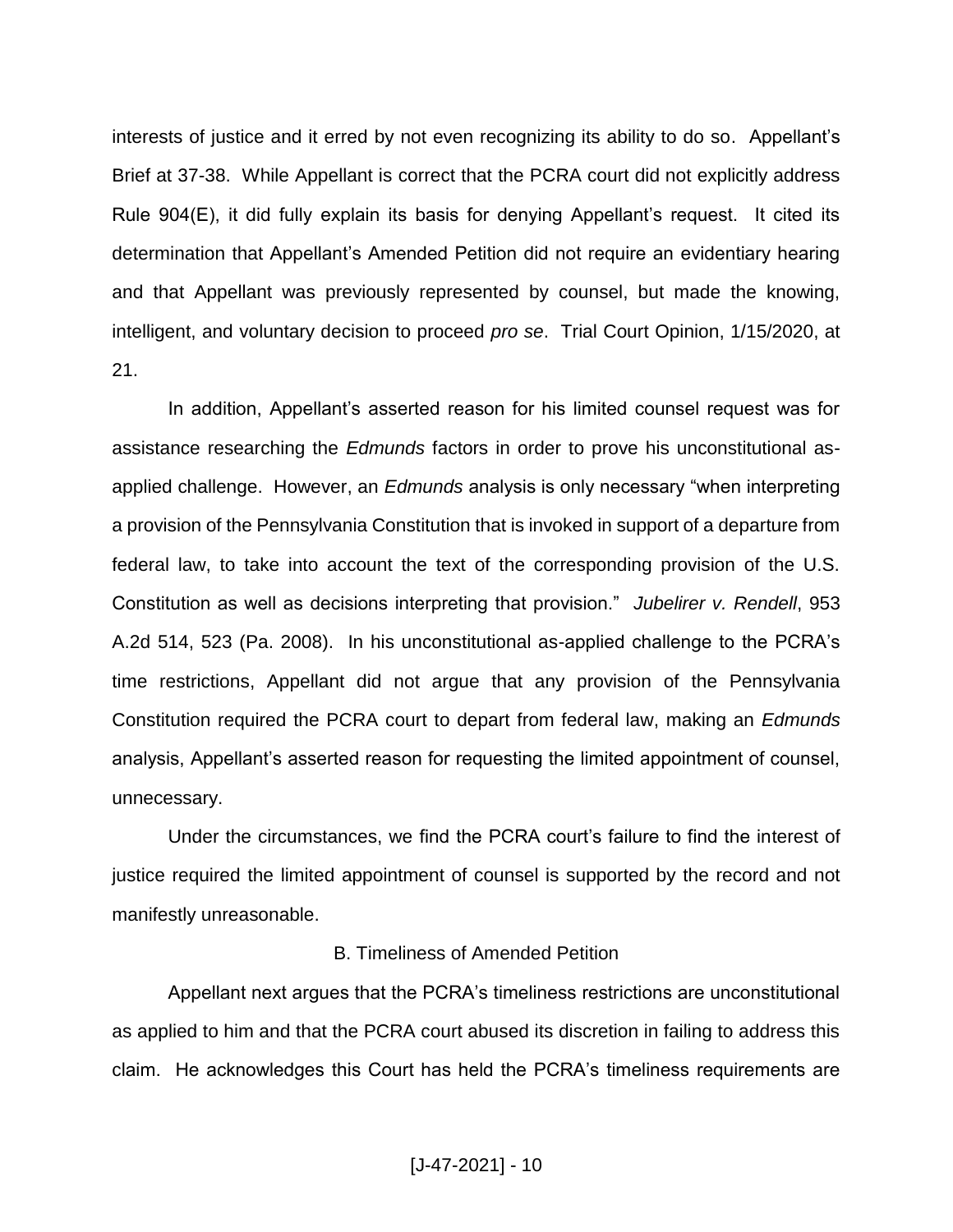interests of justice and it erred by not even recognizing its ability to do so. Appellant's Brief at 37-38. While Appellant is correct that the PCRA court did not explicitly address Rule 904(E), it did fully explain its basis for denying Appellant's request. It cited its determination that Appellant's Amended Petition did not require an evidentiary hearing and that Appellant was previously represented by counsel, but made the knowing, intelligent, and voluntary decision to proceed *pro se*. Trial Court Opinion, 1/15/2020, at 21.

In addition, Appellant's asserted reason for his limited counsel request was for assistance researching the *Edmunds* factors in order to prove his unconstitutional asapplied challenge. However, an *Edmunds* analysis is only necessary "when interpreting a provision of the Pennsylvania Constitution that is invoked in support of a departure from federal law, to take into account the text of the corresponding provision of the U.S. Constitution as well as decisions interpreting that provision." *Jubelirer v. Rendell*, 953 A.2d 514, 523 (Pa. 2008). In his unconstitutional as-applied challenge to the PCRA's time restrictions, Appellant did not argue that any provision of the Pennsylvania Constitution required the PCRA court to depart from federal law, making an *Edmunds*  analysis, Appellant's asserted reason for requesting the limited appointment of counsel, unnecessary.

Under the circumstances, we find the PCRA court's failure to find the interest of justice required the limited appointment of counsel is supported by the record and not manifestly unreasonable.

#### B. Timeliness of Amended Petition

Appellant next argues that the PCRA's timeliness restrictions are unconstitutional as applied to him and that the PCRA court abused its discretion in failing to address this claim. He acknowledges this Court has held the PCRA's timeliness requirements are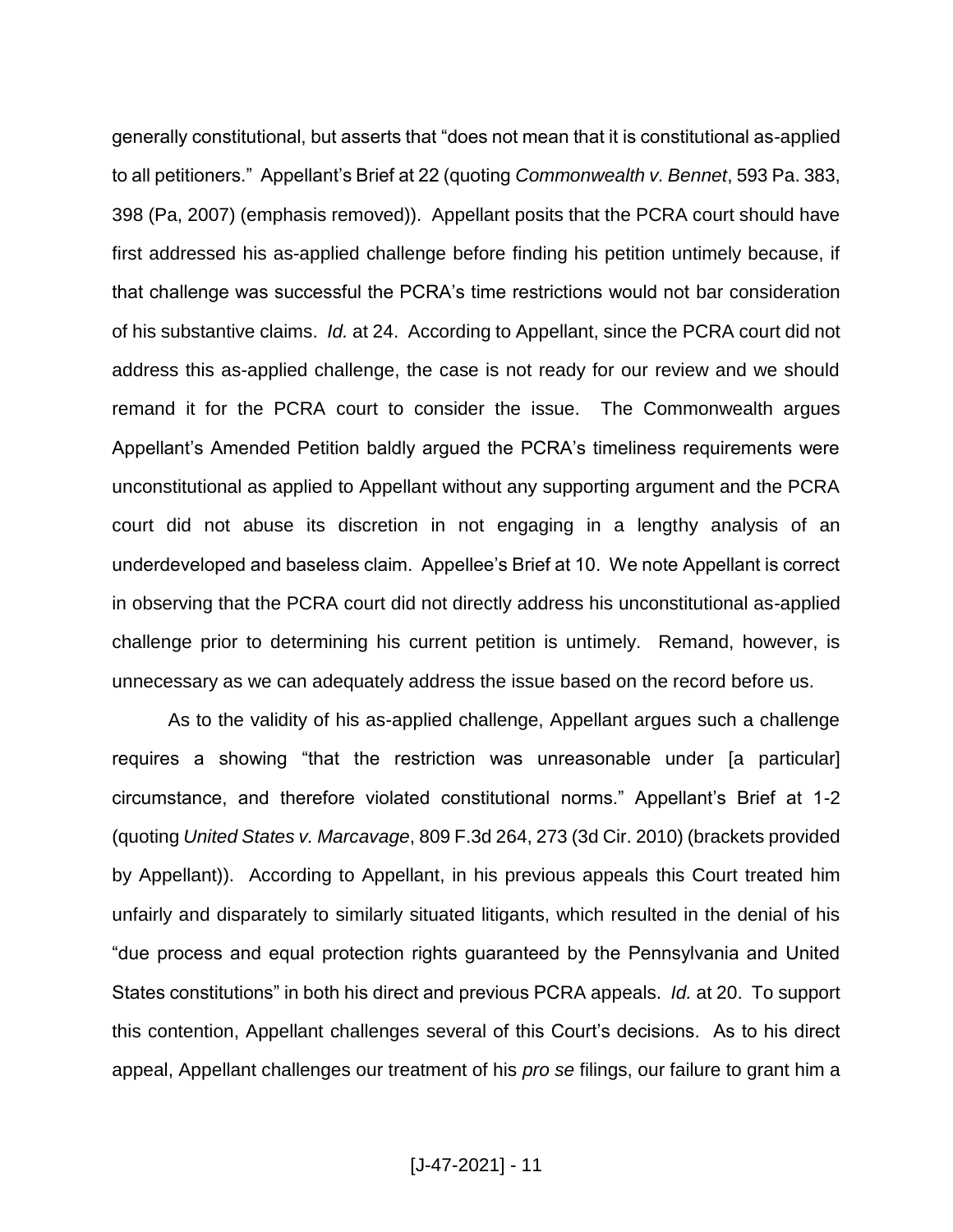generally constitutional, but asserts that "does not mean that it is constitutional as-applied to all petitioners." Appellant's Brief at 22 (quoting *Commonwealth v. Bennet*, 593 Pa. 383, 398 (Pa, 2007) (emphasis removed)). Appellant posits that the PCRA court should have first addressed his as-applied challenge before finding his petition untimely because, if that challenge was successful the PCRA's time restrictions would not bar consideration of his substantive claims. *Id.* at 24. According to Appellant, since the PCRA court did not address this as-applied challenge, the case is not ready for our review and we should remand it for the PCRA court to consider the issue. The Commonwealth argues Appellant's Amended Petition baldly argued the PCRA's timeliness requirements were unconstitutional as applied to Appellant without any supporting argument and the PCRA court did not abuse its discretion in not engaging in a lengthy analysis of an underdeveloped and baseless claim. Appellee's Brief at 10. We note Appellant is correct in observing that the PCRA court did not directly address his unconstitutional as-applied challenge prior to determining his current petition is untimely. Remand, however, is unnecessary as we can adequately address the issue based on the record before us.

As to the validity of his as-applied challenge, Appellant argues such a challenge requires a showing "that the restriction was unreasonable under [a particular] circumstance, and therefore violated constitutional norms." Appellant's Brief at 1-2 (quoting *United States v. Marcavage*, 809 F.3d 264, 273 (3d Cir. 2010) (brackets provided by Appellant)). According to Appellant, in his previous appeals this Court treated him unfairly and disparately to similarly situated litigants, which resulted in the denial of his "due process and equal protection rights guaranteed by the Pennsylvania and United States constitutions" in both his direct and previous PCRA appeals. *Id.* at 20. To support this contention, Appellant challenges several of this Court's decisions. As to his direct appeal, Appellant challenges our treatment of his *pro se* filings, our failure to grant him a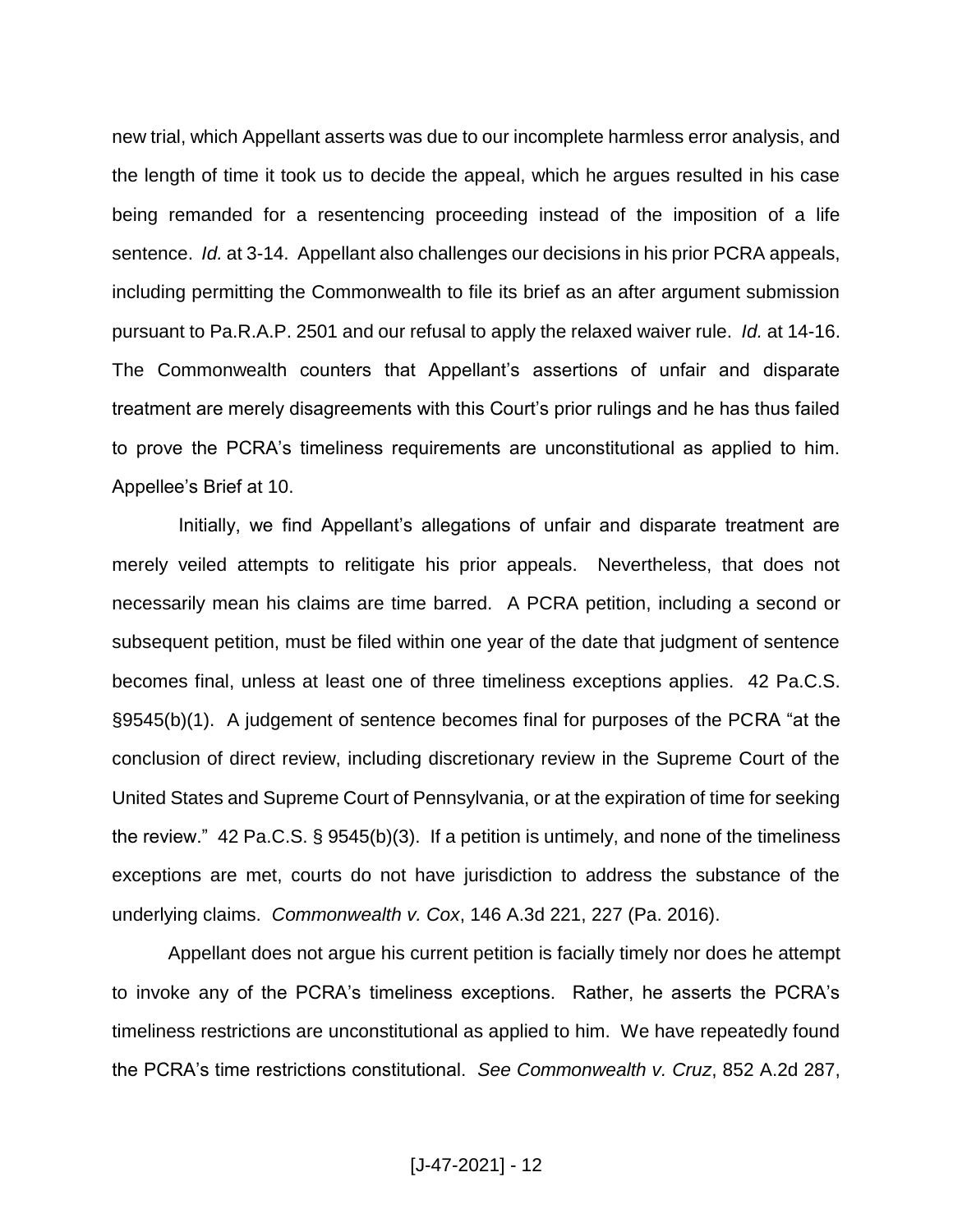new trial, which Appellant asserts was due to our incomplete harmless error analysis, and the length of time it took us to decide the appeal, which he argues resulted in his case being remanded for a resentencing proceeding instead of the imposition of a life sentence. *Id.* at 3-14. Appellant also challenges our decisions in his prior PCRA appeals, including permitting the Commonwealth to file its brief as an after argument submission pursuant to Pa.R.A.P. 2501 and our refusal to apply the relaxed waiver rule. *Id.* at 14-16. The Commonwealth counters that Appellant's assertions of unfair and disparate treatment are merely disagreements with this Court's prior rulings and he has thus failed to prove the PCRA's timeliness requirements are unconstitutional as applied to him. Appellee's Brief at 10.

 Initially, we find Appellant's allegations of unfair and disparate treatment are merely veiled attempts to relitigate his prior appeals. Nevertheless, that does not necessarily mean his claims are time barred. A PCRA petition, including a second or subsequent petition, must be filed within one year of the date that judgment of sentence becomes final, unless at least one of three timeliness exceptions applies. 42 Pa.C.S. §9545(b)(1). A judgement of sentence becomes final for purposes of the PCRA "at the conclusion of direct review, including discretionary review in the Supreme Court of the United States and Supreme Court of Pennsylvania, or at the expiration of time for seeking the review." 42 Pa.C.S. § 9545(b)(3). If a petition is untimely, and none of the timeliness exceptions are met, courts do not have jurisdiction to address the substance of the underlying claims. *Commonwealth v. Cox*, 146 A.3d 221, 227 (Pa. 2016).

Appellant does not argue his current petition is facially timely nor does he attempt to invoke any of the PCRA's timeliness exceptions. Rather, he asserts the PCRA's timeliness restrictions are unconstitutional as applied to him. We have repeatedly found the PCRA's time restrictions constitutional. *See Commonwealth v. Cruz*, 852 A.2d 287,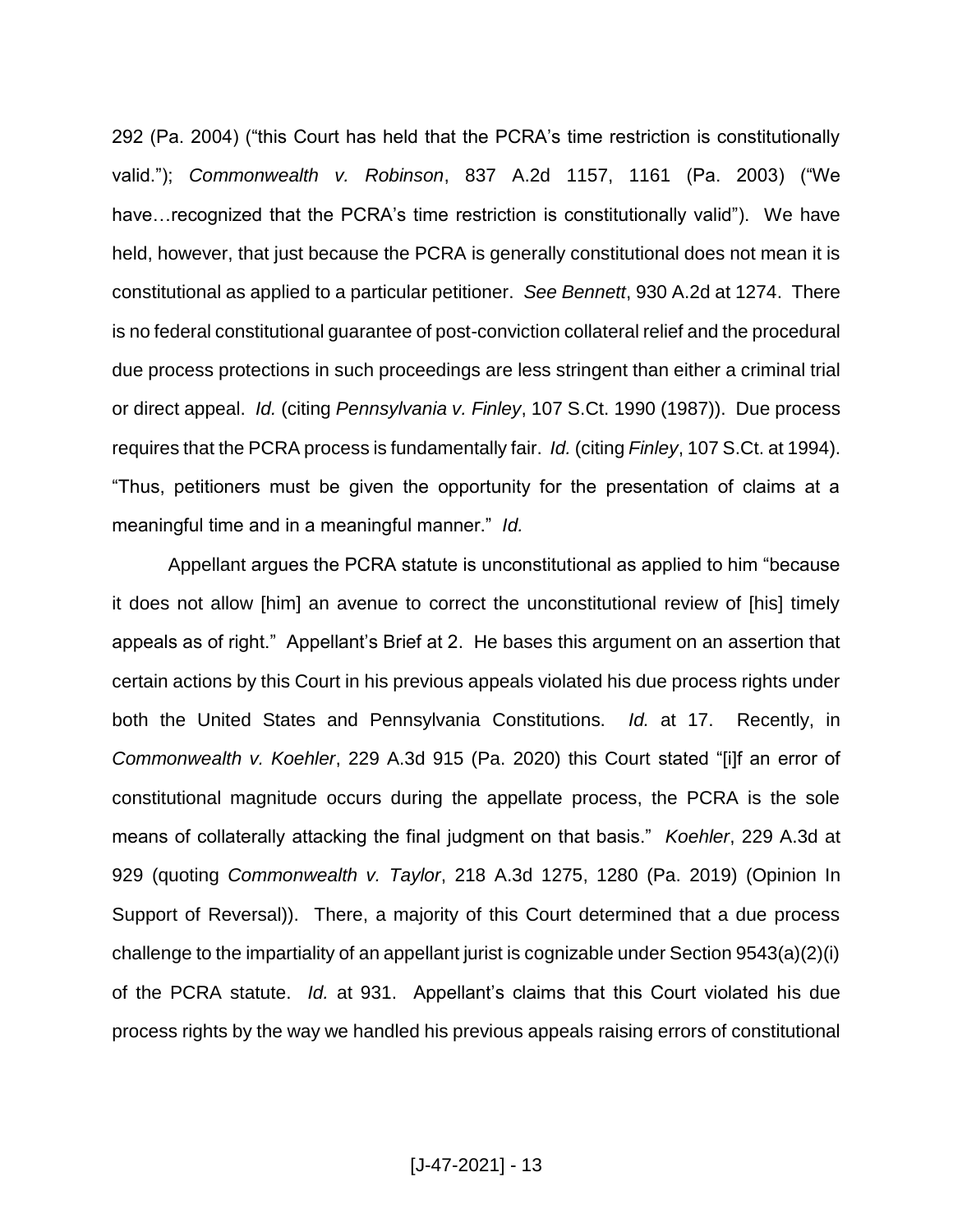292 (Pa. 2004) ("this Court has held that the PCRA's time restriction is constitutionally valid."); *Commonwealth v. Robinson*, 837 A.2d 1157, 1161 (Pa. 2003) ("We have... recognized that the PCRA's time restriction is constitutionally valid"). We have held, however, that just because the PCRA is generally constitutional does not mean it is constitutional as applied to a particular petitioner. *See Bennett*, 930 A.2d at 1274. There is no federal constitutional guarantee of post-conviction collateral relief and the procedural due process protections in such proceedings are less stringent than either a criminal trial or direct appeal. *Id.* (citing *Pennsylvania v. Finley*, 107 S.Ct. 1990 (1987)). Due process requires that the PCRA process is fundamentally fair. *Id.* (citing *Finley*, 107 S.Ct. at 1994). "Thus, petitioners must be given the opportunity for the presentation of claims at a meaningful time and in a meaningful manner." *Id.*

Appellant argues the PCRA statute is unconstitutional as applied to him "because it does not allow [him] an avenue to correct the unconstitutional review of [his] timely appeals as of right." Appellant's Brief at 2. He bases this argument on an assertion that certain actions by this Court in his previous appeals violated his due process rights under both the United States and Pennsylvania Constitutions. *Id.* at 17. Recently, in *Commonwealth v. Koehler*, 229 A.3d 915 (Pa. 2020) this Court stated "[i]f an error of constitutional magnitude occurs during the appellate process, the PCRA is the sole means of collaterally attacking the final judgment on that basis." *Koehler*, 229 A.3d at 929 (quoting *Commonwealth v. Taylor*, 218 A.3d 1275, 1280 (Pa. 2019) (Opinion In Support of Reversal)). There, a majority of this Court determined that a due process challenge to the impartiality of an appellant jurist is cognizable under Section 9543(a)(2)(i) of the PCRA statute. *Id.* at 931. Appellant's claims that this Court violated his due process rights by the way we handled his previous appeals raising errors of constitutional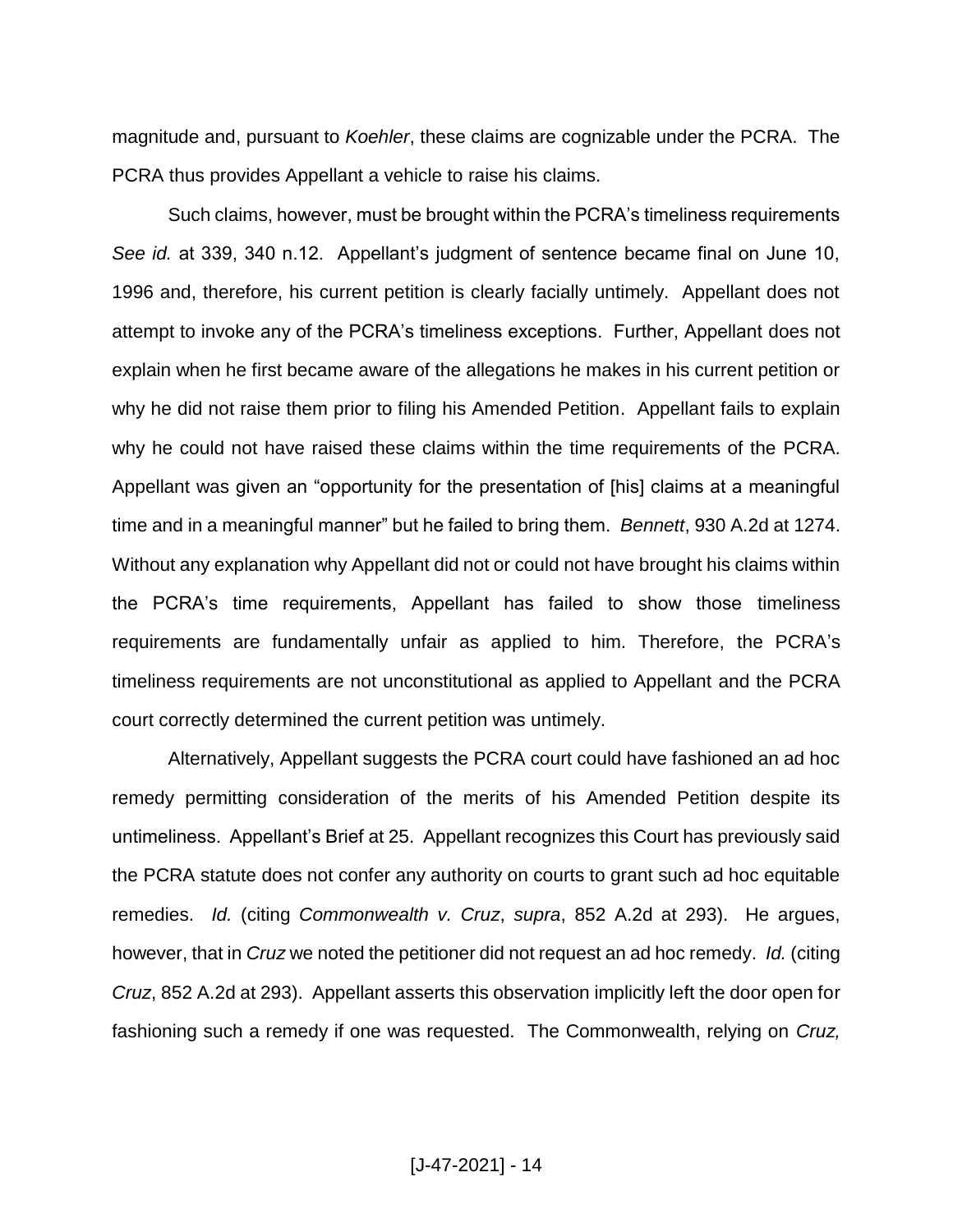magnitude and, pursuant to *Koehler*, these claims are cognizable under the PCRA. The PCRA thus provides Appellant a vehicle to raise his claims.

Such claims, however, must be brought within the PCRA's timeliness requirements *See id.* at 339, 340 n.12. Appellant's judgment of sentence became final on June 10, 1996 and, therefore, his current petition is clearly facially untimely. Appellant does not attempt to invoke any of the PCRA's timeliness exceptions. Further, Appellant does not explain when he first became aware of the allegations he makes in his current petition or why he did not raise them prior to filing his Amended Petition. Appellant fails to explain why he could not have raised these claims within the time requirements of the PCRA. Appellant was given an "opportunity for the presentation of [his] claims at a meaningful time and in a meaningful manner" but he failed to bring them. *Bennett*, 930 A.2d at 1274. Without any explanation why Appellant did not or could not have brought his claims within the PCRA's time requirements, Appellant has failed to show those timeliness requirements are fundamentally unfair as applied to him. Therefore, the PCRA's timeliness requirements are not unconstitutional as applied to Appellant and the PCRA court correctly determined the current petition was untimely.

Alternatively, Appellant suggests the PCRA court could have fashioned an ad hoc remedy permitting consideration of the merits of his Amended Petition despite its untimeliness. Appellant's Brief at 25. Appellant recognizes this Court has previously said the PCRA statute does not confer any authority on courts to grant such ad hoc equitable remedies. *Id.* (citing *Commonwealth v. Cruz*, *supra*, 852 A.2d at 293). He argues, however, that in *Cruz* we noted the petitioner did not request an ad hoc remedy. *Id.* (citing *Cruz*, 852 A.2d at 293). Appellant asserts this observation implicitly left the door open for fashioning such a remedy if one was requested. The Commonwealth, relying on *Cruz,*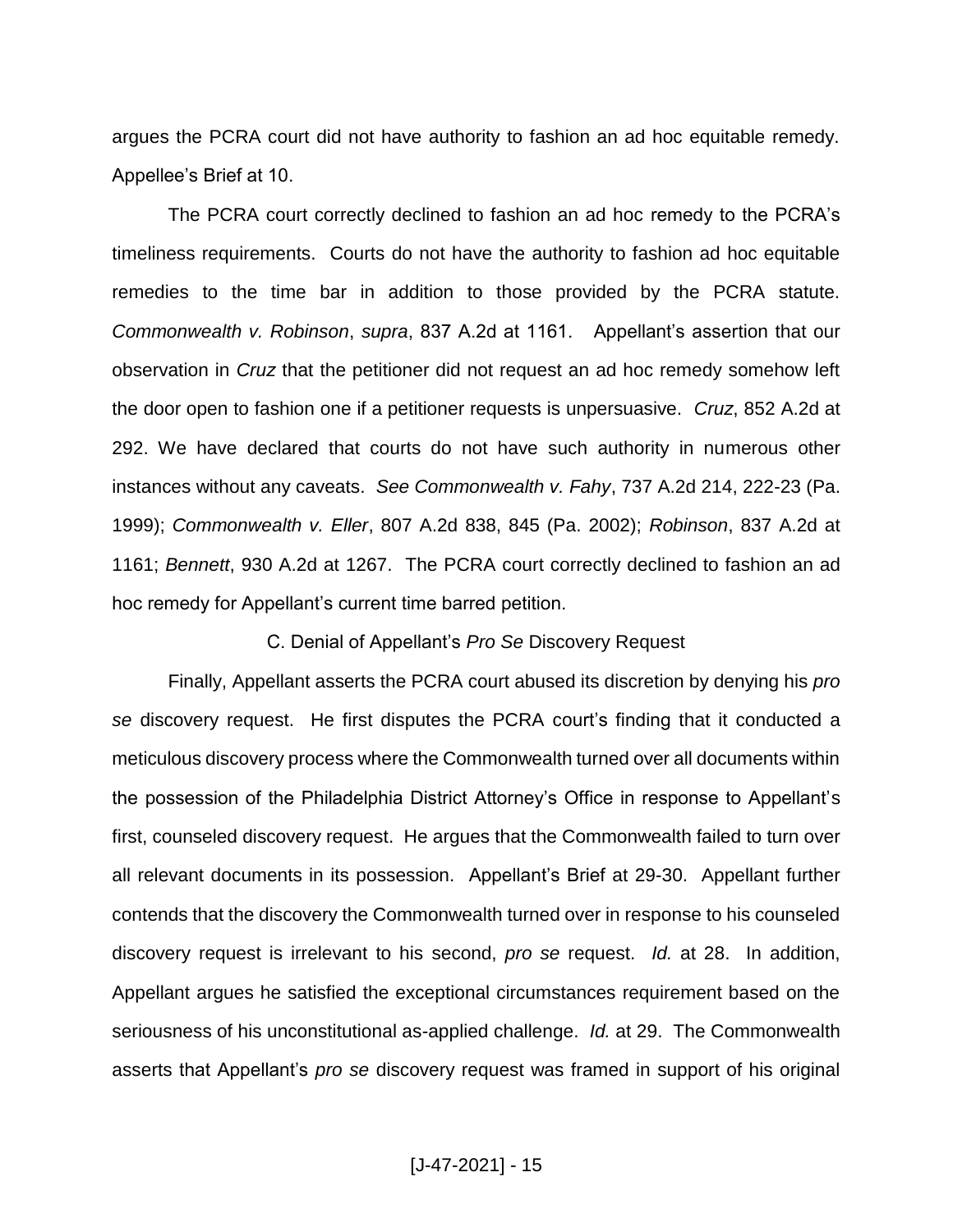argues the PCRA court did not have authority to fashion an ad hoc equitable remedy. Appellee's Brief at 10.

The PCRA court correctly declined to fashion an ad hoc remedy to the PCRA's timeliness requirements. Courts do not have the authority to fashion ad hoc equitable remedies to the time bar in addition to those provided by the PCRA statute. *Commonwealth v. Robinson*, *supra*, 837 A.2d at 1161. Appellant's assertion that our observation in *Cruz* that the petitioner did not request an ad hoc remedy somehow left the door open to fashion one if a petitioner requests is unpersuasive. *Cruz*, 852 A.2d at 292. We have declared that courts do not have such authority in numerous other instances without any caveats. *See Commonwealth v. Fahy*, 737 A.2d 214, 222-23 (Pa. 1999); *Commonwealth v. Eller*, 807 A.2d 838, 845 (Pa. 2002); *Robinson*, 837 A.2d at 1161; *Bennett*, 930 A.2d at 1267. The PCRA court correctly declined to fashion an ad hoc remedy for Appellant's current time barred petition.

C. Denial of Appellant's *Pro Se* Discovery Request

Finally, Appellant asserts the PCRA court abused its discretion by denying his *pro se* discovery request. He first disputes the PCRA court's finding that it conducted a meticulous discovery process where the Commonwealth turned over all documents within the possession of the Philadelphia District Attorney's Office in response to Appellant's first, counseled discovery request. He argues that the Commonwealth failed to turn over all relevant documents in its possession. Appellant's Brief at 29-30. Appellant further contends that the discovery the Commonwealth turned over in response to his counseled discovery request is irrelevant to his second, *pro se* request. *Id.* at 28. In addition, Appellant argues he satisfied the exceptional circumstances requirement based on the seriousness of his unconstitutional as-applied challenge. *Id.* at 29. The Commonwealth asserts that Appellant's *pro se* discovery request was framed in support of his original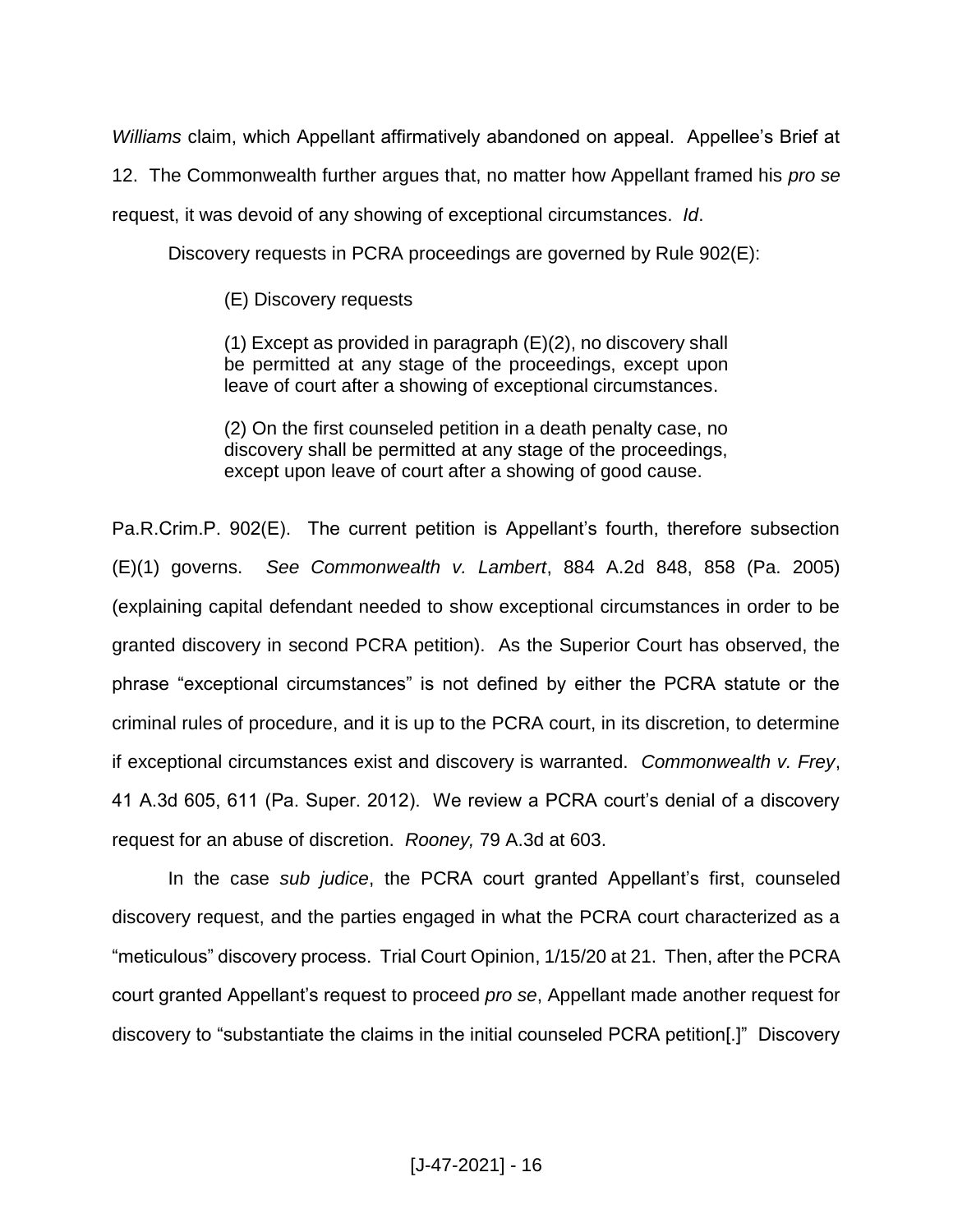*Williams* claim, which Appellant affirmatively abandoned on appeal. Appellee's Brief at 12. The Commonwealth further argues that, no matter how Appellant framed his *pro se* request, it was devoid of any showing of exceptional circumstances. *Id*.

Discovery requests in PCRA proceedings are governed by Rule 902(E):

(E) Discovery requests

(1) Except as provided in paragraph (E)(2), no discovery shall be permitted at any stage of the proceedings, except upon leave of court after a showing of exceptional circumstances.

(2) On the first counseled petition in a death penalty case, no discovery shall be permitted at any stage of the proceedings, except upon leave of court after a showing of good cause.

Pa.R.Crim.P. 902(E). The current petition is Appellant's fourth, therefore subsection (E)(1) governs. *See Commonwealth v. Lambert*, 884 A.2d 848, 858 (Pa. 2005) (explaining capital defendant needed to show exceptional circumstances in order to be granted discovery in second PCRA petition). As the Superior Court has observed, the phrase "exceptional circumstances" is not defined by either the PCRA statute or the criminal rules of procedure, and it is up to the PCRA court, in its discretion, to determine if exceptional circumstances exist and discovery is warranted. *Commonwealth v. Frey*, 41 A.3d 605, 611 (Pa. Super. 2012). We review a PCRA court's denial of a discovery request for an abuse of discretion. *Rooney,* 79 A.3d at 603.

In the case *sub judice*, the PCRA court granted Appellant's first, counseled discovery request, and the parties engaged in what the PCRA court characterized as a "meticulous" discovery process. Trial Court Opinion, 1/15/20 at 21. Then, after the PCRA court granted Appellant's request to proceed *pro se*, Appellant made another request for discovery to "substantiate the claims in the initial counseled PCRA petition[.]" Discovery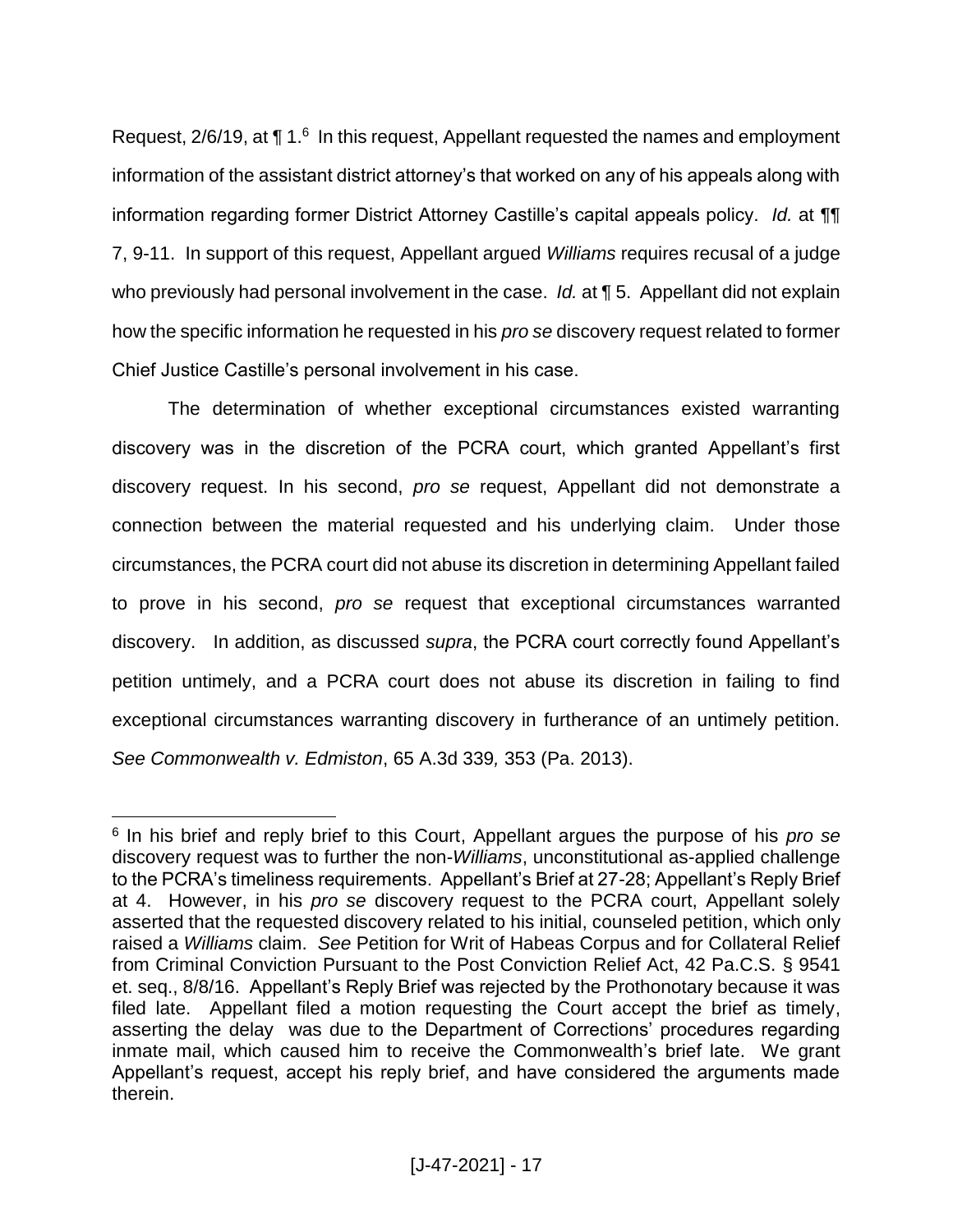Request,  $2/6/19$ , at  $\P 1.6$  In this request, Appellant requested the names and employment information of the assistant district attorney's that worked on any of his appeals along with information regarding former District Attorney Castille's capital appeals policy. *Id.* at ¶¶ 7, 9-11. In support of this request, Appellant argued *Williams* requires recusal of a judge who previously had personal involvement in the case. *Id.* at **[5**. Appellant did not explain how the specific information he requested in his *pro se* discovery request related to former Chief Justice Castille's personal involvement in his case.

The determination of whether exceptional circumstances existed warranting discovery was in the discretion of the PCRA court, which granted Appellant's first discovery request. In his second, *pro se* request, Appellant did not demonstrate a connection between the material requested and his underlying claim. Under those circumstances, the PCRA court did not abuse its discretion in determining Appellant failed to prove in his second, *pro se* request that exceptional circumstances warranted discovery. In addition, as discussed *supra*, the PCRA court correctly found Appellant's petition untimely, and a PCRA court does not abuse its discretion in failing to find exceptional circumstances warranting discovery in furtherance of an untimely petition. *See Commonwealth v. Edmiston*, 65 A.3d 339*,* 353 (Pa. 2013).

 $\overline{a}$ 

<sup>6</sup> In his brief and reply brief to this Court, Appellant argues the purpose of his *pro se* discovery request was to further the non-*Williams*, unconstitutional as-applied challenge to the PCRA's timeliness requirements. Appellant's Brief at 27-28; Appellant's Reply Brief at 4. However, in his *pro se* discovery request to the PCRA court, Appellant solely asserted that the requested discovery related to his initial, counseled petition, which only raised a *Williams* claim. *See* Petition for Writ of Habeas Corpus and for Collateral Relief from Criminal Conviction Pursuant to the Post Conviction Relief Act, 42 Pa.C.S. § 9541 et. seq., 8/8/16. Appellant's Reply Brief was rejected by the Prothonotary because it was filed late. Appellant filed a motion requesting the Court accept the brief as timely, asserting the delay was due to the Department of Corrections' procedures regarding inmate mail, which caused him to receive the Commonwealth's brief late. We grant Appellant's request, accept his reply brief, and have considered the arguments made therein.